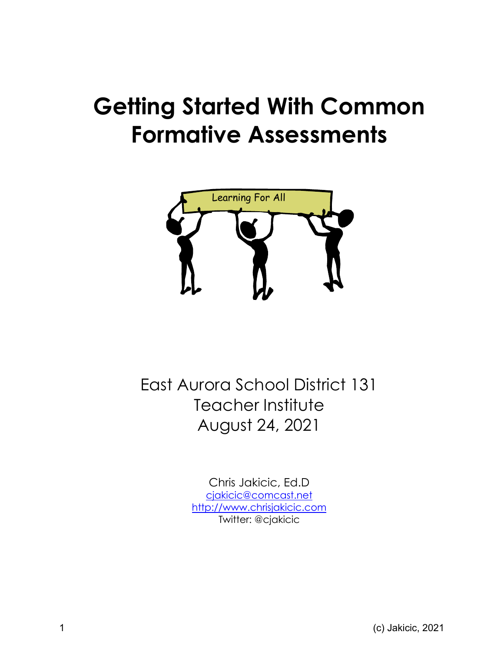# **Getting Started With Common Formative Assessments**



East Aurora School District 131 Teacher Institute August 24, 2021

> Chris Jakicic, Ed.D cjakicic@comcast.net http://www.chrisjakicic.com Twitter: @cjakicic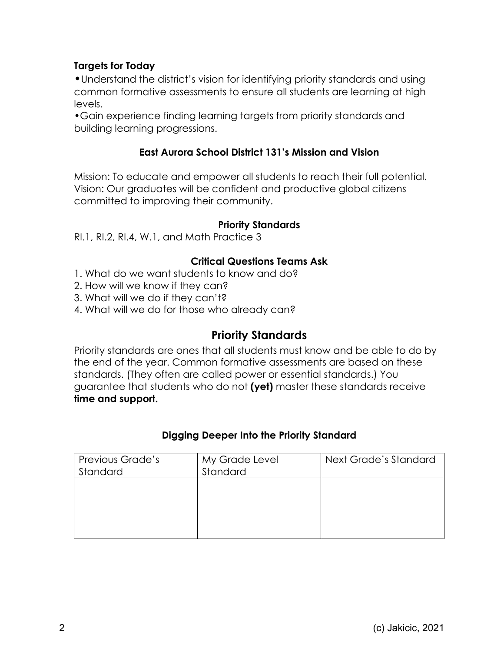# **Targets for Today**

•Understand the district's vision for identifying priority standards and using common formative assessments to ensure all students are learning at high levels.

•Gain experience finding learning targets from priority standards and building learning progressions.

# **East Aurora School District 131's Mission and Vision**

Mission: To educate and empower all students to reach their full potential. Vision: Our graduates will be confident and productive global citizens committed to improving their community.

#### **Priority Standards**

RI.1, RI.2, RI.4, W.1, and Math Practice 3

#### **Critical Questions Teams Ask**

- 1. What do we want students to know and do?
- 2. How will we know if they can?
- 3. What will we do if they can't?
- 4. What will we do for those who already can?

# **Priority Standards**

Priority standards are ones that all students must know and be able to do by the end of the year. Common formative assessments are based on these standards. (They often are called power or essential standards.) You guarantee that students who do not **(yet)** master these standards receive **time and support.**

## **Digging Deeper Into the Priority Standard**

| Previous Grade's<br>Standard | My Grade Level<br>Standard | Next Grade's Standard |
|------------------------------|----------------------------|-----------------------|
|                              |                            |                       |
|                              |                            |                       |
|                              |                            |                       |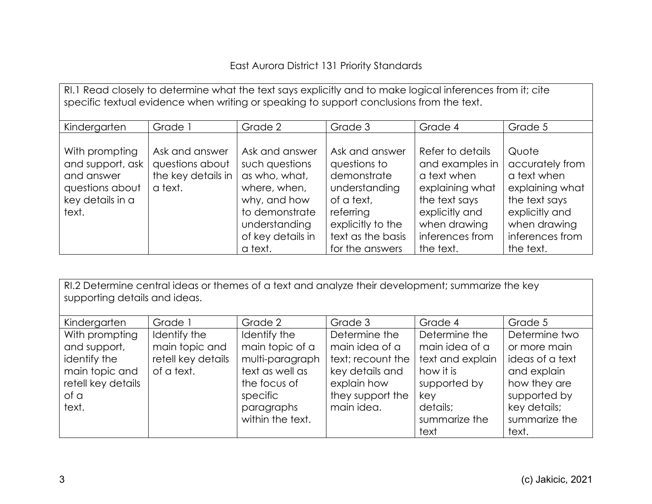# East Aurora District 131 Priority Standards

| RI.1 Read closely to determine what the text says explicitly and to make logical inferences from it; cite<br>specific textual evidence when writing or speaking to support conclusions from the text. |                                                                    |                                                                                                                                                      |                                                                                                                                                        |                                                                                                                                                          |                                                                                                                                               |
|-------------------------------------------------------------------------------------------------------------------------------------------------------------------------------------------------------|--------------------------------------------------------------------|------------------------------------------------------------------------------------------------------------------------------------------------------|--------------------------------------------------------------------------------------------------------------------------------------------------------|----------------------------------------------------------------------------------------------------------------------------------------------------------|-----------------------------------------------------------------------------------------------------------------------------------------------|
| Kindergarten                                                                                                                                                                                          | Grade 1                                                            | Grade 2                                                                                                                                              | Grade 3                                                                                                                                                | Grade 4                                                                                                                                                  | Grade 5                                                                                                                                       |
| With prompting<br>and support, ask<br>and answer<br>questions about<br>key details in a<br>text.                                                                                                      | Ask and answer<br>questions about<br>the key details in<br>a text. | Ask and answer<br>such questions<br>as who, what,<br>where, when,<br>why, and how<br>to demonstrate<br>understanding<br>of key details in<br>a text. | Ask and answer<br>questions to<br>demonstrate<br>understanding<br>of a text,<br>referring<br>explicitly to the<br>text as the basis<br>for the answers | Refer to details<br>and examples in<br>a text when<br>explaining what<br>the text says<br>explicitly and<br>when drawing<br>inferences from<br>the text. | Quote<br>accurately from<br>a text when<br>explaining what<br>the text says<br>explicitly and<br>when drawing<br>inferences from<br>the text. |

RI.2 Determine central ideas or themes of a text and analyze their development; summarize the key supporting details and ideas.

| Kindergarten       | Grade 1            | Grade 2          | Grade 3           | Grade 4          | Grade 5         |
|--------------------|--------------------|------------------|-------------------|------------------|-----------------|
| With prompting     | Identify the       | Identify the     | Determine the     | Determine the    | Determine two   |
| and support,       | main topic and     | main topic of a  | main idea of a    | main idea of a   | or more main    |
| identify the       | retell key details | multi-paragraph  | text; recount the | text and explain | ideas of a text |
| main topic and     | of a text.         | text as well as  | key details and   | how it is        | and explain     |
| retell key details |                    | the focus of     | explain how       | supported by     | how they are    |
| of a               |                    | specific         | they support the  | key              | supported by    |
| text.              |                    | paragraphs       | main idea.        | details;         | key details;    |
|                    |                    | within the text. |                   | summarize the    | summarize the   |
|                    |                    |                  |                   | text             | text.           |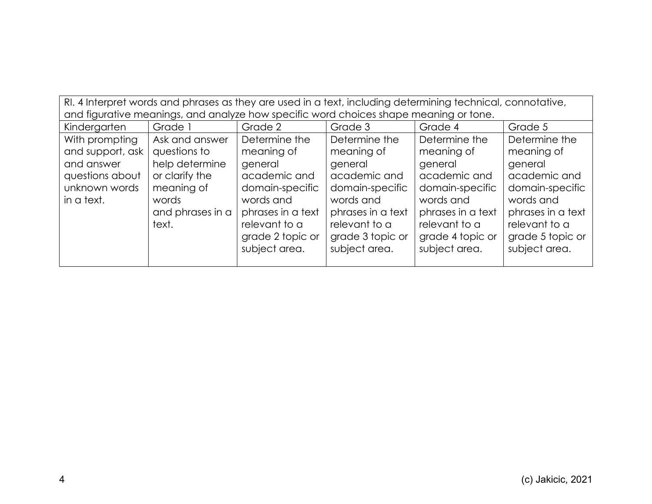| RI. 4 Interpret words and phrases as they are used in a text, including determining technical, connotative, |                                                                                       |                   |                   |                   |                   |
|-------------------------------------------------------------------------------------------------------------|---------------------------------------------------------------------------------------|-------------------|-------------------|-------------------|-------------------|
|                                                                                                             | and figurative meanings, and analyze how specific word choices shape meaning or tone. |                   |                   |                   |                   |
| Kindergarten                                                                                                | Grade <sup>1</sup>                                                                    | Grade 2           | Grade 3           | Grade 4           | Grade 5           |
| With prompting                                                                                              | Ask and answer                                                                        | Determine the     | Determine the     | Determine the     | Determine the     |
| and support, ask                                                                                            | questions to                                                                          | meaning of        | meaning of        | meaning of        | meaning of        |
| and answer                                                                                                  | help determine<br>general<br>general<br>general<br>general                            |                   |                   |                   |                   |
| questions about                                                                                             | or clarify the                                                                        | academic and      | academic and      | academic and      | academic and      |
| unknown words                                                                                               | meaning of                                                                            | domain-specific   | domain-specific   | domain-specific   | domain-specific   |
| in a text.                                                                                                  | words                                                                                 | words and         | words and         | words and         | words and         |
|                                                                                                             | and phrases in a                                                                      | phrases in a text | phrases in a text | phrases in a text | phrases in a text |
|                                                                                                             | text.                                                                                 | relevant to a     | relevant to a     | relevant to a     | relevant to a     |
|                                                                                                             |                                                                                       | grade 2 topic or  | grade 3 topic or  | grade 4 topic or  | grade 5 topic or  |
|                                                                                                             |                                                                                       | subject area.     | subject area.     | subject area.     | subject area.     |
|                                                                                                             |                                                                                       |                   |                   |                   |                   |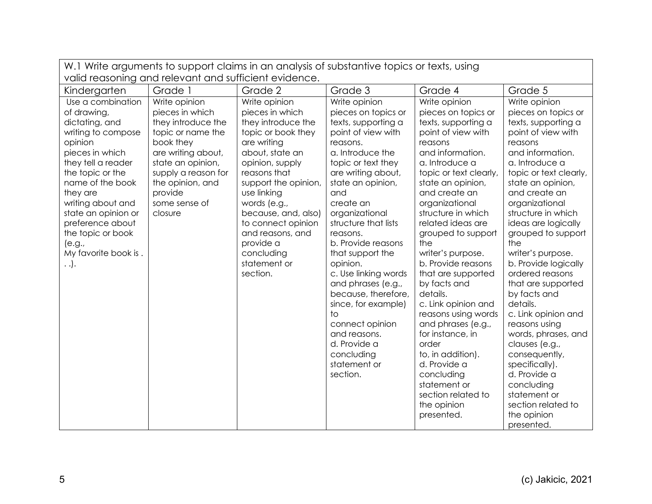| W.1 Write arguments to support claims in an analysis of substantive topics or texts, using                                                                                                                                                                                                                             |                                                                                                                                                                                                                       |                                                                                                                                                                                                                                                                                                                                  |                                                                                                                                                                                                                                                                                                                                                                                                                                                                                                                   |                                                                                                                                                                                                                                                                                                                                                                                                                                                                                                                                                                                                    |                                                                                                                                                                                                                                                                                                                                                                                                                                                                                                                                                                                                          |
|------------------------------------------------------------------------------------------------------------------------------------------------------------------------------------------------------------------------------------------------------------------------------------------------------------------------|-----------------------------------------------------------------------------------------------------------------------------------------------------------------------------------------------------------------------|----------------------------------------------------------------------------------------------------------------------------------------------------------------------------------------------------------------------------------------------------------------------------------------------------------------------------------|-------------------------------------------------------------------------------------------------------------------------------------------------------------------------------------------------------------------------------------------------------------------------------------------------------------------------------------------------------------------------------------------------------------------------------------------------------------------------------------------------------------------|----------------------------------------------------------------------------------------------------------------------------------------------------------------------------------------------------------------------------------------------------------------------------------------------------------------------------------------------------------------------------------------------------------------------------------------------------------------------------------------------------------------------------------------------------------------------------------------------------|----------------------------------------------------------------------------------------------------------------------------------------------------------------------------------------------------------------------------------------------------------------------------------------------------------------------------------------------------------------------------------------------------------------------------------------------------------------------------------------------------------------------------------------------------------------------------------------------------------|
| valid reasoning and relevant and sufficient evidence.                                                                                                                                                                                                                                                                  |                                                                                                                                                                                                                       |                                                                                                                                                                                                                                                                                                                                  |                                                                                                                                                                                                                                                                                                                                                                                                                                                                                                                   |                                                                                                                                                                                                                                                                                                                                                                                                                                                                                                                                                                                                    |                                                                                                                                                                                                                                                                                                                                                                                                                                                                                                                                                                                                          |
| Kindergarten                                                                                                                                                                                                                                                                                                           | Grade 1                                                                                                                                                                                                               | Grade 2                                                                                                                                                                                                                                                                                                                          | Grade 3                                                                                                                                                                                                                                                                                                                                                                                                                                                                                                           | Grade 4                                                                                                                                                                                                                                                                                                                                                                                                                                                                                                                                                                                            | Grade 5                                                                                                                                                                                                                                                                                                                                                                                                                                                                                                                                                                                                  |
| Use a combination<br>of drawing,<br>dictating, and<br>writing to compose<br>opinion<br>pieces in which<br>they tell a reader<br>the topic or the<br>name of the book<br>they are<br>writing about and<br>state an opinion or<br>preference about<br>the topic or book<br>(e.g.,<br>My favorite book is.<br>$\ldots$ ). | Write opinion<br>pieces in which<br>they introduce the<br>topic or name the<br>book they<br>are writing about,<br>state an opinion,<br>supply a reason for<br>the opinion, and<br>provide<br>some sense of<br>closure | Write opinion<br>pieces in which<br>they introduce the<br>topic or book they<br>are writing<br>about, state an<br>opinion, supply<br>reasons that<br>support the opinion,<br>use linking<br>words (e.g.,<br>because, and, also)<br>to connect opinion<br>and reasons, and<br>provide a<br>concluding<br>statement or<br>section. | Write opinion<br>pieces on topics or<br>texts, supporting a<br>point of view with<br>reasons.<br>a. Introduce the<br>topic or text they<br>are writing about,<br>state an opinion,<br>and<br>create an<br>organizational<br>structure that lists<br>reasons.<br>b. Provide reasons<br>that support the<br>opinion.<br>c. Use linking words<br>and phrases (e.g.,<br>because, therefore,<br>since, for example)<br>to<br>connect opinion<br>and reasons.<br>d. Provide a<br>concluding<br>statement or<br>section. | Write opinion<br>pieces on topics or<br>texts, supporting a<br>point of view with<br>reasons<br>and information.<br>a. Introduce a<br>topic or text clearly,<br>state an opinion,<br>and create an<br>organizational<br>structure in which<br>related ideas are<br>grouped to support<br>the<br>writer's purpose.<br>b. Provide reasons<br>that are supported<br>by facts and<br>details.<br>c. Link opinion and<br>reasons using words<br>and phrases (e.g.,<br>for instance, in<br>order<br>to, in addition).<br>d. Provide a<br>concluding<br>statement or<br>section related to<br>the opinion | Write opinion<br>pieces on topics or<br>texts, supporting a<br>point of view with<br>reasons<br>and information.<br>a. Introduce a<br>topic or text clearly,<br>state an opinion,<br>and create an<br>organizational<br>structure in which<br>ideas are logically<br>grouped to support<br>the<br>writer's purpose.<br>b. Provide logically<br>ordered reasons<br>that are supported<br>by facts and<br>details.<br>c. Link opinion and<br>reasons using<br>words, phrases, and<br>clauses (e.g.,<br>consequently,<br>specifically).<br>d. Provide a<br>concluding<br>statement or<br>section related to |
|                                                                                                                                                                                                                                                                                                                        |                                                                                                                                                                                                                       |                                                                                                                                                                                                                                                                                                                                  |                                                                                                                                                                                                                                                                                                                                                                                                                                                                                                                   | presented.                                                                                                                                                                                                                                                                                                                                                                                                                                                                                                                                                                                         | the opinion<br>presented.                                                                                                                                                                                                                                                                                                                                                                                                                                                                                                                                                                                |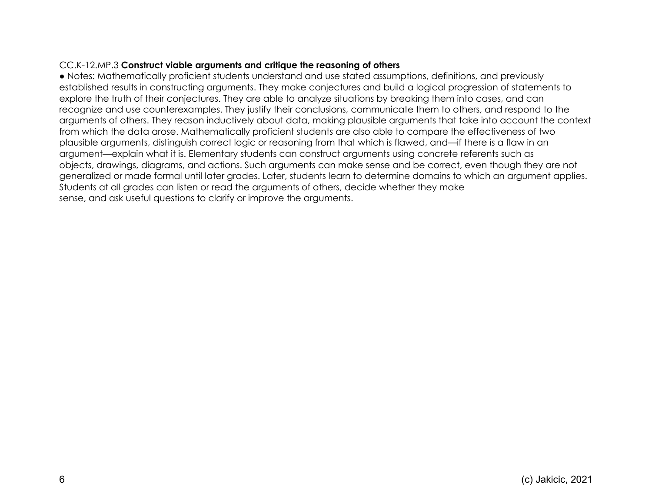#### CC.K-12.MP.3 **Construct viable arguments and critique the reasoning of others**

● Notes: Mathematically proficient students understand and use stated assumptions, definitions, and previously established results in constructing arguments. They make conjectures and build a logical progression of statements to explore the truth of their conjectures. They are able to analyze situations by breaking them into cases, and can recognize and use counterexamples. They justify their conclusions, communicate them to others, and respond to the arguments of others. They reason inductively about data, making plausible arguments that take into account the context from which the data arose. Mathematically proficient students are also able to compare the effectiveness of two plausible arguments, distinguish correct logic or reasoning from that which is flawed, and—if there is a flaw in an argument—explain what it is. Elementary students can construct arguments using concrete referents such as objects, drawings, diagrams, and actions. Such arguments can make sense and be correct, even though they are not generalized or made formal until later grades. Later, students learn to determine domains to which an argument applies. Students at all grades can listen or read the arguments of others, decide whether they make sense, and ask useful questions to clarify or improve the arguments.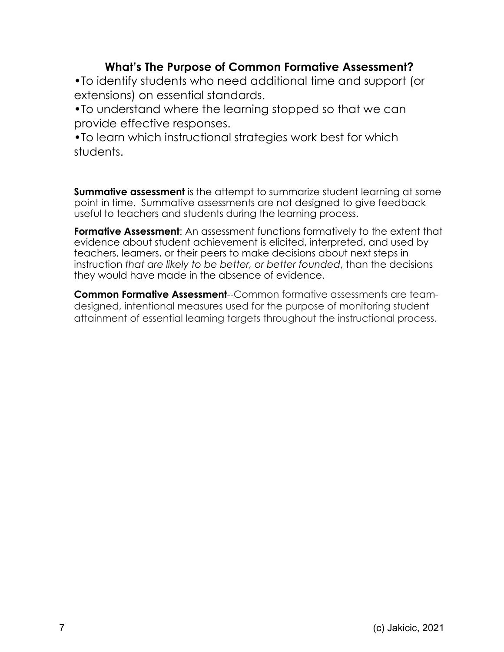# **What's The Purpose of Common Formative Assessment?**

•To identify students who need additional time and support (or extensions) on essential standards.

•To understand where the learning stopped so that we can provide effective responses.

•To learn which instructional strategies work best for which students.

**Summative assessment** is the attempt to summarize student learning at some point in time. Summative assessments are not designed to give feedback useful to teachers and students during the learning process.

**Formative Assessment**: An assessment functions formatively to the extent that evidence about student achievement is elicited, interpreted, and used by teachers, learners, or their peers to make decisions about next steps in instruction *that are likely to be better, or better founded*, than the decisions they would have made in the absence of evidence.

**Common Formative Assessment**--Common formative assessments are teamdesigned, intentional measures used for the purpose of monitoring student attainment of essential learning targets throughout the instructional process.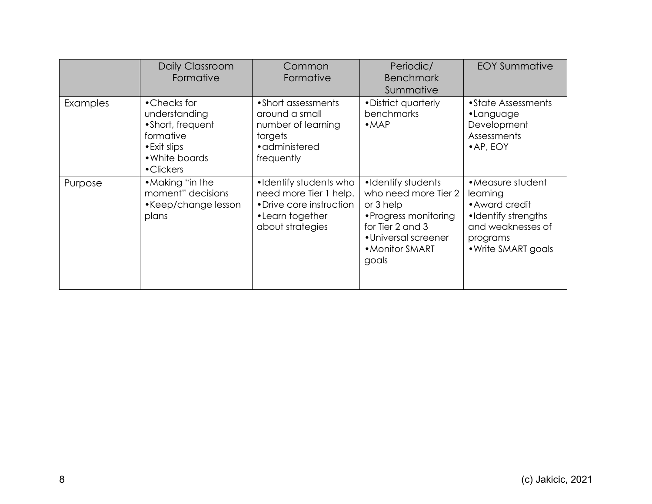|          | Daily Classroom<br>Formative                                                                                  | Common<br>Formative                                                                                                 | Periodic/<br><b>Benchmark</b><br>Summative                                                                                                               | <b>EOY Summative</b>                                                                                                           |
|----------|---------------------------------------------------------------------------------------------------------------|---------------------------------------------------------------------------------------------------------------------|----------------------------------------------------------------------------------------------------------------------------------------------------------|--------------------------------------------------------------------------------------------------------------------------------|
| Examples | •Checks for<br>understanding<br>•Short, frequent<br>formative<br>• Exit slips<br>• White boards<br>• Clickers | • Short assessments<br>around a small<br>number of learning<br>targets<br>• administered<br>frequently              | • District quarterly<br>benchmarks<br>• <b>MAP</b>                                                                                                       | • State Assessments<br>•Language<br>Development<br>Assessments<br>$\bullet$ AP, EOY                                            |
| Purpose  | • Making "in the<br>moment" decisions<br>•Keep/change lesson<br>plans                                         | •Identify students who<br>need more Tier 1 help.<br>• Drive core instruction<br>•Learn together<br>about strategies | •Identify students<br>who need more Tier 2<br>or 3 help<br>• Progress monitoring<br>for Tier 2 and 3<br>• Universal screener<br>• Monitor SMART<br>goals | • Measure student<br>learning<br>• Award credit<br>•Identify strengths<br>and weaknesses of<br>programs<br>• Write SMART goals |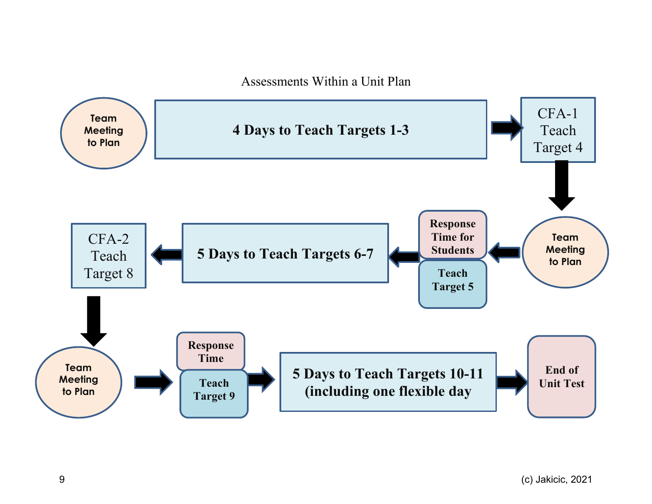Assessments Within a Unit Plan

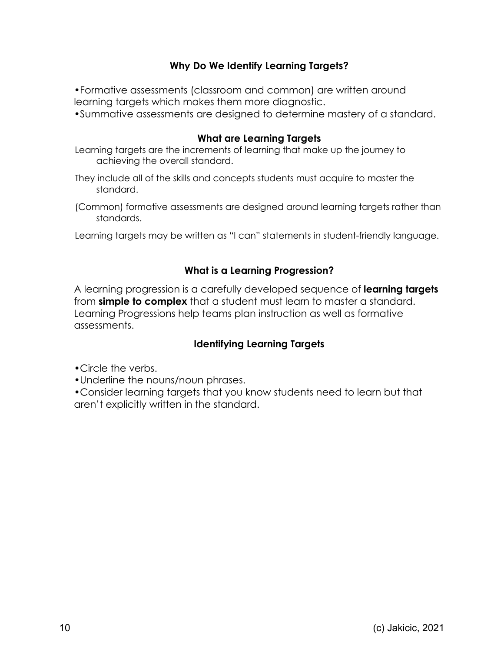# **Why Do We Identify Learning Targets?**

•Formative assessments (classroom and common) are written around learning targets which makes them more diagnostic.

•Summative assessments are designed to determine mastery of a standard.

#### **What are Learning Targets**

Learning targets are the increments of learning that make up the journey to achieving the overall standard.

- They include all of the skills and concepts students must acquire to master the standard.
- (Common) formative assessments are designed around learning targets rather than standards.

Learning targets may be written as "I can" statements in student-friendly language.

# **What is a Learning Progression?**

A learning progression is a carefully developed sequence of **learning targets** from **simple to complex** that a student must learn to master a standard. Learning Progressions help teams plan instruction as well as formative assessments.

## **Identifying Learning Targets**

- •Circle the verbs.
- •Underline the nouns/noun phrases.

•Consider learning targets that you know students need to learn but that aren't explicitly written in the standard.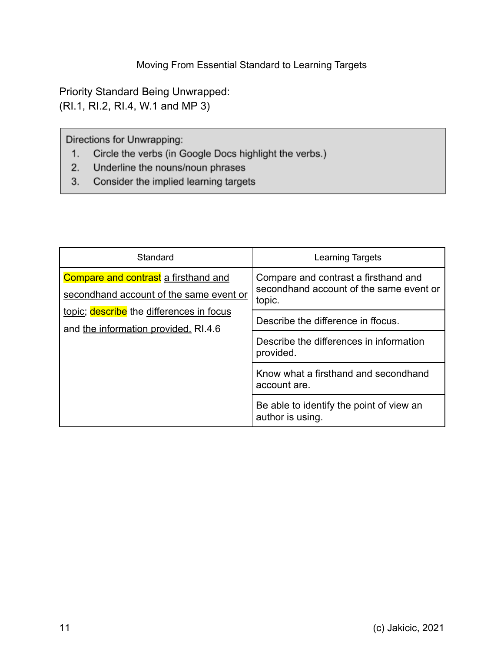Priority Standard Being Unwrapped: (RI.1, RI.2, RI.4, W.1 and MP 3)

Directions for Unwrapping:

- Circle the verbs (in Google Docs highlight the verbs.)  $1.$
- Underline the nouns/noun phrases  $2.$
- Consider the implied learning targets  $3.$

| Standard                                                                         | <b>Learning Targets</b>                                                                   |  |
|----------------------------------------------------------------------------------|-------------------------------------------------------------------------------------------|--|
| Compare and contrast a firsthand and<br>secondhand account of the same event or  | Compare and contrast a firsthand and<br>secondhand account of the same event or<br>topic. |  |
| topic; describe the differences in focus<br>and the information provided. RI.4.6 | Describe the difference in ffocus.                                                        |  |
|                                                                                  | Describe the differences in information<br>provided.                                      |  |
|                                                                                  | Know what a firsthand and secondhand<br>account are.                                      |  |
|                                                                                  | Be able to identify the point of view an<br>author is using.                              |  |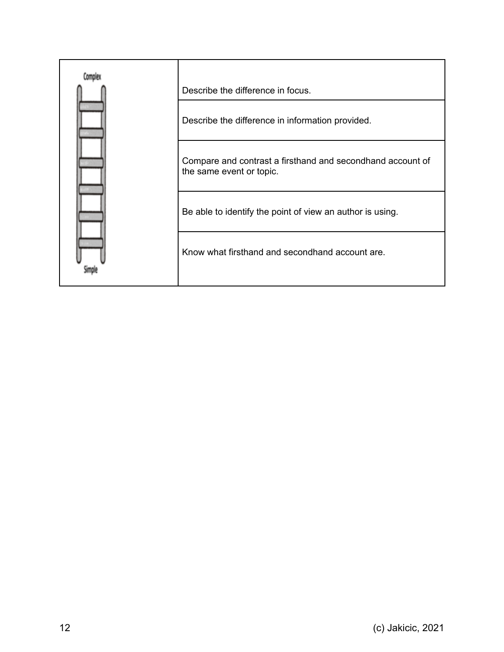| Describe the difference in focus.                                                      |
|----------------------------------------------------------------------------------------|
| Describe the difference in information provided.                                       |
| Compare and contrast a firsthand and secondhand account of<br>the same event or topic. |
| Be able to identify the point of view an author is using.                              |
| Know what firsthand and secondhand account are.                                        |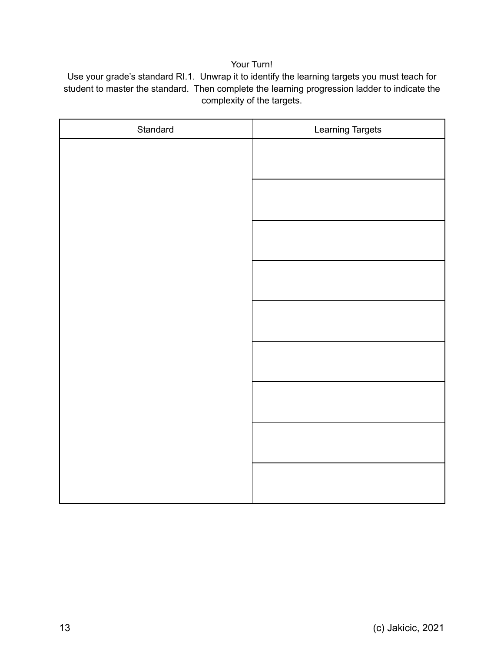#### Your Turn!

Use your grade's standard RI.1. Unwrap it to identify the learning targets you must teach for student to master the standard. Then complete the learning progression ladder to indicate the complexity of the targets.

| Standard | Learning Targets |
|----------|------------------|
|          |                  |
|          |                  |
|          |                  |
|          |                  |
|          |                  |
|          |                  |
|          |                  |
|          |                  |
|          |                  |
|          |                  |
|          |                  |
|          |                  |
|          |                  |
|          |                  |
|          |                  |
|          |                  |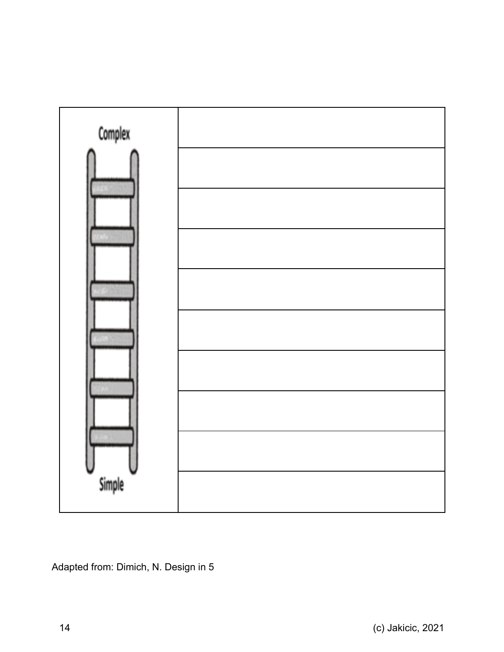

Adapted from: Dimich, N. Design in 5